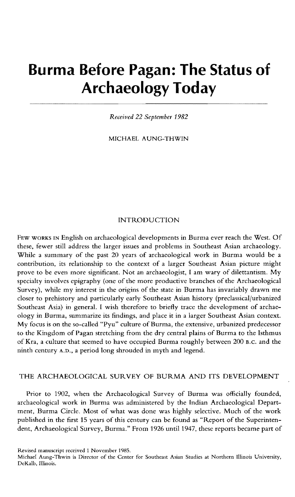# **Burma Before Pagan: The Status of Archaeology Today**

*Received* 22 *September 1982* 

MICHAEL A UNG-THWIN

## INTRODUCTION

FEW WORKS IN English on archaeological developments in Burma ever reach the West. Of these, fewer still address the larger issues and problems in Southeast Asian archaeology. While a summary of the past 20 years of archaeological work in Burma would be a contribution, its relationship to the context of a larger Southeast Asian picture might prove to be even more significant. Not an archaeologist, I am wary of dilettantism. My specialty involves epigraphy (one of the more productive branches of the Archaeological Survey), while my interest in the origins of the state in Burma has invariably drawn me closer to prehistory and particularly early Southeast Asian history (preclassical/urbanized Southeast Asia) in general. I wish therefore to briefly trace the development of archaeology in Burma, summarize its findings, and place it in a larger Southeast Asian context. My focus is on the so-called "Pyu" culture of Burma, the extensive, urbanized predecessor to the Kingdom of Pagan stretching from the dry central plains of Burma to the Isthmus of Kra, a culture that seemed to have occupied Burma roughly between 200 B.C. and the ninth century A.D., a period long shrouded in myth and legend.

## THE ARCHAEOLOGICAL SURVEY OF BURMA AND ITS DEVELOPMENT

Prior to 1902, when the Archaeological Survey of Burma was officially founded, archaeological work in Burma was administered by the Indian Archaeological Department, Burma Circle. Most of what was done was highly selective. Much of the work published in the first 15 years of this century can be found as "Report of the Superintendent, Archaeological Survey, Burma." From 1926 until 1947, these reports became part of

Revised manuscript received 1 November 1985.

Michael Aung-Thwin is Director of the Center for Southeast Asian Studies at Northern Illinois University, DeKalb, Illinois.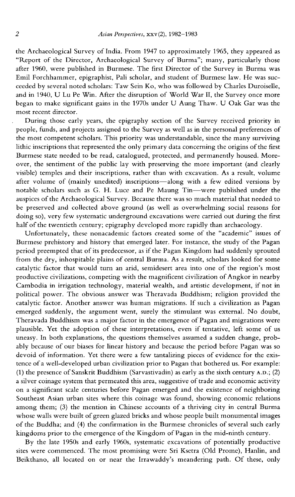the Archaeological Survey of India. From 1947 to approximately 1965, they appeared as "Report of the Director, Archaeological Survey of Burma"; many, particularly those after 1960, were published in Burmese. The first Director of the Survey in Burma was Emil Forchhammer, epigraphist, Pali scholar, and student of Burmese law. He was succeeded by several noted scholars: Taw Sein Ko, who was followed by Charles Duroiselle, and in 1940, U Lu Pe Win. After the disruption of World War II, the Survey once more began to make significant gains in the 1970s under U Aung Thaw. U Oak Gar was the most recent director.

During those early years, the epigraphy section of the Survey received priority in people, funds, and projects assigned to the Survey as well as in the personal preferences of the most competent scholars. This priority was understandable, since the many surviving lithic inscriptions that represented the only primary data concerning the origins of the first Burmese state needed to be read, catalogued, protected, and permanently housed. Moreover, the sentiment of the public lay with preserving the more important (and clearly visible) temples and their inscriptions, rather than with excavation. As a result, volume after volume of (mainly unedited) inscriptions-along with a few edited versions by notable scholars such as G. H. Luce and Pe Maung Tin-were published under the auspices of the Archaeological Survey. Because there was so much material that needed to be preserved and collected above ground (as well as overwhelming social reasons for doing so), very few systematic underground excavations were carried out during the first half of the twentieth century; epigraphy developed more rapidly than archaeology.

Unfortunately, these nonacademic factors created some of the "academic" issues of Burmese prehistory and history that emerged later. For instance, the study of the Pagan period preempted that of its predecessor, as if the Pagan Kingdom had suddenly sprouted from the dry, inhospitable plains of central Burma. As a result, scholars looked for some catalytic factor that would turn an arid, semidesert area into one of the region's most productive civilizations, competing with the magnificent civilization of Angkor in nearby Cambodia in irrigation technology, material wealth, and artistic development, if not in political power. The obvious answer was Theravada Buddhism; religion provided the catalytic factor. Another answer was human migrations. If such a civilization as Pagan emerged suddenly, the argument went, surely the stimulant was external. No doubt, Theravada Buddhism was a major factor in the emergence of Pagan and migrations were plausible. Yet the adoption of these interpretations, even if tentative, left some of us uneasy. In both explanations, the questions themselves assumed a sudden change, probably because of our biases for linear history and because the period before Pagan was so devoid of information. Yet there were a few tantalizing pieces of evidence for the existence of a well-developed urban civilization prior to Pagan that bothered us. For example: (1) the presence of Sanskrit Buddhism (Sarvastivadin) as early as the sixth century A.D.; (2) a silver coinage system that permeated this area, suggestive of trade and economic activity on a significant scale centuries before Pagan emerged and the existence of neighboring Southeast Asian urban sites where this coinage was found, showing economic relations among them; (3) the mention in Chinese accounts of a thriving city in central Burma whose walls were built of green glazed bricks and whose people built monumental images of the Buddha; and (4) the confirmation in the Burmese chronicles of several such early kingdoms prior to the emergence of the Kingdom of Pagan in the mid-ninth century.

By the late 1950s and early 1960s, systematic excavations of potentially productive sites were commenced. The most promising were Sri Ksetra (Old Prome), Hanlin, and Beikthano, all located on or near the Irrawaddy's meandering path. Of these, only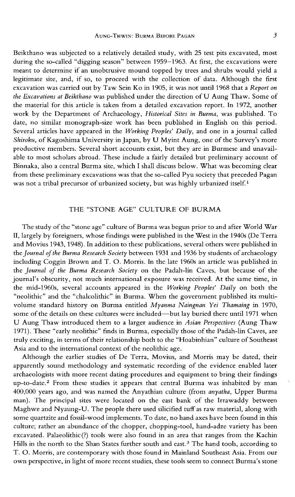Beikthano was subjected to a relatively detailed study, with 25 test pits excavated, most during the so-called "digging season" between 1959-1963. At first, the excavations were meant to determine if an unobtrusive mound topped by trees and shrubs would yield a legitimate site, and, if so, to proceed with the collection of data. Although the first excavation was carried out by Taw Sein Ko in 1905, it was not until 1968 that a *Report on the Excavations at Beikthano* was published under the direction ofU Aung Thaw. Some of the material for this article is taken from a detailed excavation report. In 1972, another work by the Department of Archaeology, *Historical Sites in Burma,* was published. To date, no similar monograph-size work has been published in English on this period. Several articles have appeared in the *Working Peoples' Daily,* and one in a journal called *Shiroku,* of Kagoshima University in Japan, by U Myint Aung, one of the Survey's more productive members. Several short accounts exist, but they are in Burmese and unavailable to most scholars abroad. These include a fairly detailed but preliminary account of Binnaka, also a central Burma site, which I shall discuss below. What was becoming clear from these preliminary excavations was that the so-called Pyu society that preceded Pagan was not a tribal precursor of urbanized society, but was highly urbanized itself.<sup>1</sup>

## THE "STONE AGE" CULTURE OF BURMA

The study of the "stone age" culture of Burma was begun prior to and after World War **II,** largely by foreigners, whose findings were published in the West in the 1940s (De Terra and Movius 1943, 1948). In addition to these publications, several others were published in the *Journal of the Burma Research Society* between 1931 and 1936 by students of archaeology including Coggin Brown and T. O. Morris. In the late 1960s an article was published in the *Journal of the Burma Research Society* on the Padah-lin Caves, but because of the journal's obscurity, not much international exposure was received. At the same time, in the mid-1960s, several accounts appeared in the *Working Peoples' Daily* on both the "neolithic" and the "chalcolithic" in Burma. When the government published its multivolume standard history on Burma entitled *Myanma Naingnan Yei Thamaing* in 1970, some of the details on these cultures were included-but lay buried there until 1971 when U Aung Thaw introduced them to a larger audience in *Asian Perspectives* (Aung Thaw 1971). These "early neolithic" finds in Burma, especially those of the Padah-lin Caves, are truly exciting, in terms of their relationship both to the "Hoabinhian" culture of Southeast Asia and to the international context of the neolithic age.

Although the earlier studies of De Terra, Movius, and Morris may be dated, their apparently sound methodology and systematic recording of the evidence enabled later archaeologists with more recent dating procedures and equipment to bring their findings up-to-date. 2 From these studies it appears that central Burma was inhabited by man 400,000 years ago, and was named the Anyathian culture (from *anyatha,* Upper Burma man). The principal sites were located on the east bank of the Irrawaddy between Maghwe and Nyaung-U. The people there used silicified tuff as raw material, along with some quartzite and fossil-wood implements. To date, no hand axes have been found in this culture; rather an abundance of the chopper, chopping-tool, hand-adze variety has been excavated. Palaeolithic(?) tools were also found in an area that ranges from the Kachin Hills in the north to the Shan States further south and east.<sup>3</sup> The hand tools, according to T. O. Morris, are contemporary with those found in Mainland Southeast Asia. From our own perspective, in light of more recent studies, these tools seem to connect Burma's stone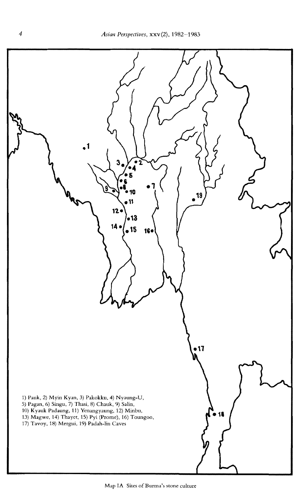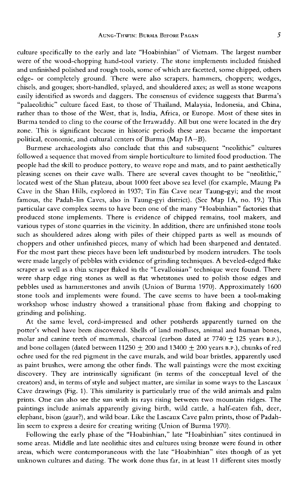culture specifically to the early and late "Hoabinhian" of Vietnam. The largest number were of the wood-chopping hand-tool variety. The stone implements included finished and unfinished polished and rough tools, some of which are facetted, some chipped, others edge- or completely ground. There were also scrapers. hammers, choppers; wedges, chisels, and gouges; short-handled, splayed, and shouldered axes; as well as stone weapons easily identified as swords and daggers. The consensus of evidence suggests that Burma's "palaeolithic" culture faced East, to those of Thailand, Malaysia, Indonesia, and China, rather than to those of the West, that is, India, Africa, or Europe. Most of these sites in Burma tended to cling to the course of the Irrawaddy. All but one were located in the dry zone. This is significant because in historic periods these areas became the important political, economic, and cultural centers of Burma (Map lA-B).

Burmese archaeologists also conclude that this and subsequent "neolithic" cultures followed a sequence that moved from simple horticulture to limited food production. The people had the skill to produce pottery, to weave rope and mats, and to paint aesthetically pleasing scenes on their cave walls. There are several caves thought to be "neolithic," located west of the Shan plateau, about 1000 feet above sea level (for example. Maung Pa Cave in the Shan llills, explored in 1937; Tin Bin Cave near Taung-gyi; and the most famous, the Padah-lin Caves, also in Taung-gyi district). (See Map lA, no. 19.) This particular cave complex seems to have been one of the many "Hoabinhian" factories that produced stone implements. There is evidence of chipped remains, tool makers, and various types of stone quarries in the vicinity. In addition, there are unfinished stone tools such as shouldered adzes along with piles of their chipped parts as well as mounds of choppers and other unfinished pieces, many of which had been sharpened and dentated. For the most part these pieces have been left undisturbed by modern intruders. The tools were made largely of pebbles with evidence of grinding techniques. A beveled-edged flake scraper as well as a thin scraper flaked in the "Levalloisian" technique were found. There were sharp edge ring stones as well as flat whetstones used to polish those edges and pebbles used as hammerstones and anvils (Union of Burma 1970). Approximately 1600 stone tools and implements were found. The cave seems to have been a tool-making workshop whose industry showed a transitional phase from flaking and chopping to grinding and polishing.

At the same level, cord-impressed and other potsherds apparently turned on the potter's wheel have been discovered. Shells of land molluscs, animal and human bones, molar and canine teeth of mammals, charcoal (carbon dated at  $7740 \pm 125$  years B.P.), and bone collagen (dated between  $11250 + 200$  and  $13400 + 200$  years B.P.), chunks of red ochre used for the red pigment in the cave murals. and wild boar bristles, apparently used as paint brushes, were among the other finds. The wall paintings were the most exciting discovery. They are intrinsically significant (in terms of the conceptual level of the creators) and, in terms of style and subject matter, are similar in some ways to the Lascaux Cave drawings (Fig. 1). This similarity is particularly true of the wild animals and palm prints. One can also see the sun with its rays rising between two mountain ridges. The paintings include animals apparently giving birth, wild cattle. a half-eaten fish, deer, elephant, bison (gaur?), and wild boar. Like the Lascaux Cave palm prints, those of Padahlin seem to express a desire for creating writing (Union of Burma 1970).

Following the early phase of the "Hoabinhian," late "Hoabinhian" sites continued in some areas. Middle and late neolithic sites and cultures using bronze were found in other areas, which were contemporaneous with the late "Hoabinhian" sites though of as yet unknown cultures and dating. The work done thus far, in at least 11 different sites mostly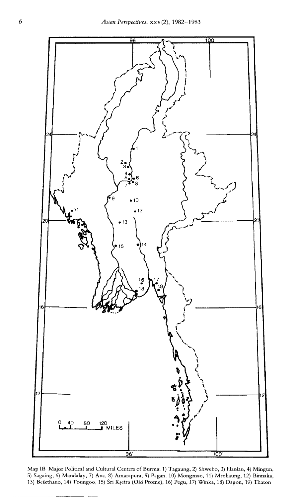

Map IB Major Political and Cultural Centers of Burma: 1) Tagaung, 2) Shwebo. 3) Hanlan, 4) Mingun, 5) Sagaing, 6) Mandalay, 7) Ava, 8) Amarapura, 9) Pagan, 10) Mongmao, 11) Mrohaung, 12) Binnaka, 13) Beikthano, 14) Toungoo, 15) Sri Kṣetra (Old Prome), 16) Pegu, 17) Winka, 18) Dagon, 19) Thaton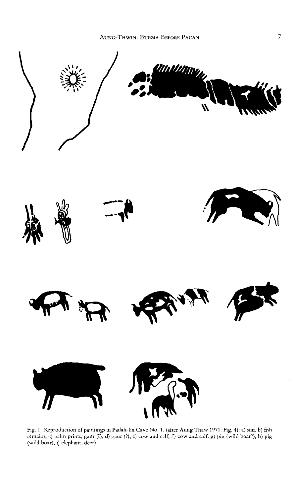

Fig. I Reproduction of paintings in Padah-lin Cave No.1. (after Aung Thaw 1971 : Fig. 4): a) sun, b) fish remains, c) palm prims, gaur (?), d) gaur (?), e) cow and calf, f) cow and calf. g) pig (wild boar?), h) pig (wild boar), i) elephant, deer)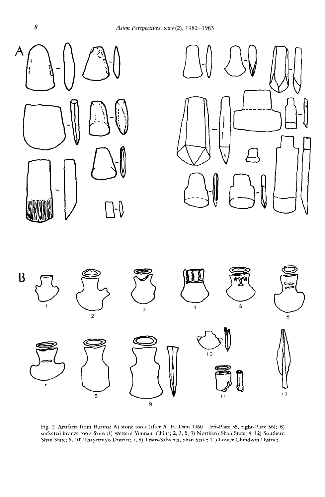*Asian Perspectives,* xxv (2), 1982-1983







Fig. 2 Artifacts from Burma: A) stone tools (after A. H. Dani 1960-left-Plate 55, right-Plate 56); B) socketed bronze tools from :1) western Yunnan, China; 2, 3, 5, 9) Northern Shan State; 4, 12) Southern Shan State; 6, 10) Thayetmyo District: 7, 8) Trans-Salween, Shan State; 11) Lower Chindwin District.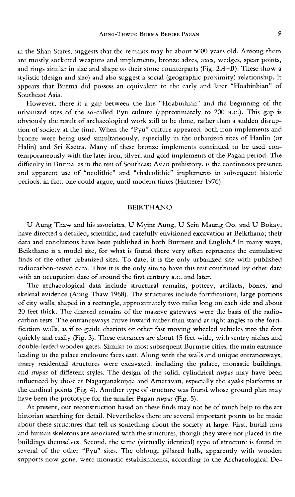in the Shan States, suggests that the remains may be about 5000 years old. Among them are mostly socketed weapons and implements, bronze adzes, axes, wedges, spear points, and rings similar in size and shape to their stone counterparts (Fig.  $2A-B$ ). These show a stylistic (design and size) and also suggest a social (geographic proximity) relationship. It appears that Burma did possess an equivalent to the early and later "Hoabinhian" of Southeast Asia.

However, there is a gap between the late "Hoabinhian" and the beginning of the urbanized sites of the so-called Pyu culture (approximately to 200 B.C.). This gap is obviously the result of archaeological work still to be done, rather than a sudden disruption of society at the time. When the "Pyu" culture appeared, both iron implements and bronze were being used simultaneously, especially in the urbanized sites of Hanlin (or Halin) and Sri Ksetra. Many of these bronze implements continued to be used contemporaneously with the later iron, silver, and gold implements of the Pagan period. The difficulty in Burma, as in the rest of Southeast Asian prehistory, is the continuous presence and apparent use of "neolithic" and "chalcolithic" implements in subsequent historic periods; in fact, one could argue, until modern times (Hutterer 1976).

## BEIKTHANO

U Aung Thaw and his associates, U Myint Aung, U Sein Maung 00, and U Bokay, have directed a detailed, scientific, and carefully envisioned excavation at Beikthano; their data and conclusions have been published in both Burmese and English.<sup>4</sup> In many ways, Beikthano is a model site, for what is found there very often represents the cumulative finds of the other urbanized sites. To date, it is the only urbanized site with published radiocarbon-tested data. Thus it is the only site to have this test confirmed by other data with an occupation date of around the first century B.C. and later.

The archaeological data include structural remains, pottery, artifacts, bones, and skeletal evidence (Aung Thaw 1968). The structures include fortifications, large portions of city walls, shaped in a rectangle, approximately two miles long on each side and about 20 feet thick. The charred remains of the massive gateways were the basis of the radiocarbon tests. The entranceways curve inward rather than stand at right angles to the fortification walls, as if to guide chariots or other fast moving wheeled vehicles into the fort quickly and easily (Fig. 3). These entrances are about 15 feet wide, with sentry niches and double-leafed wooden gates. Similar to most subsequent Burmese cities, the main entrance leading to the palace enclosure faces east. Along with the walls and unique entranceways, many residential structures were excavated, including the palace, monastic buildings, and *stupas* of different styles. The design of the solid, cylindrical *stupas* may have been influenced by those at Nagarjunakonda and Amaravati, especially the *ayaka* platforms at the cardinal points (Fig. 4). Another type of structure was found whose ground plan may have been the prototype for the smaller Pagan *stupas* (Fig. 5).

At present, our reconstruction based on these finds may not be of much help to the art historian searching for detail. Nevertheless there are several important points to be made about these structures that tell us something about the society at large. First, burial urns and human skeletons are associated with the structures, though they were not placed in the buildings themselves. Second, the same (virtually identical) type of structure is found in several of the other "Pyu" sites. The oblong, pillared halls, apparently with wooden supports now gone, were monastic establishments, according to the Archaeological De-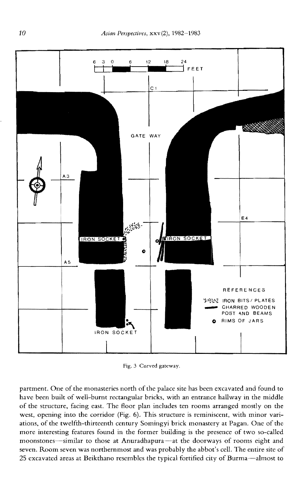

Fig. 3 Curved gateway.

partment. One of the monasteries north of the palace site has been excavated and found to have been built of well-burnt rectangular bricks, with an entrance hallway in the middle of the structure, facing east. The floor plan includes ten rooms arranged mostly on the west, opening into the corridor (Fig. 6). This structure is reminiscent, with minor variations, of the twelfth-thirteenth century Somingyi brick monastery at Pagan. One of the more interesting features found in the former building is the presence of two so-called moonstones-similar to those at Anuradhapura-at the doorways of rooms eight and seven. Room seven was northernmost and was probably the abbot's cell. The entire site of 25 excavated areas at Beikthano resembles the typical fortified city of Burma-almost to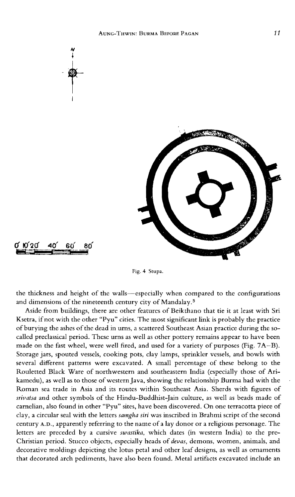

Fig. 4 Stupa.

the thickness and height of the walls-especially when compared to the configurations and dimensions of the nineteenth century city of Mandalay. 5

Aside from buildings, there are other features of Beikthano that tie it at least with Sri Ksetra, if not with the other "Pyu" cities. The most significant link is probably the practice of burying the ashes of the dead in urns, a scattered Southeast Asian practice during the socalled preclassical period. These urns as well as other pottery remains appear to have been made on the fast wheel, were well fired, and used for a variety of purposes (Fig. 7A-B). Storage jars, spouted vessels, cooking pots, clay lamps, sprinkler vessels, and bowls with several different patterns were excavated. A small percentage of these belong to the Rouletted Black Ware of northwestern and southeastern India (especially those of Arikamedu), as well as to those of western Java, showing the relationship Burma had with the Roman sea trade in Asia and its routes within Southeast Asia. Sherds with figures of *srivatsa* and other symbols of the Hindu-Buddhist-Jain culture, as well as beads made of carnelian, also found in other "Pyu" sites, have been discovered. On one terracotta piece of clay, a circular seal with the letters *samgha siri* was inscribed in Brahmi script of the second century A.D., apparently referring to the name of a lay donor or a religious personage. The letters are preceded by a cursive *swastika,* which dates (in western India) to the pre-Christian period. Stucco objects, especially heads of *devas,* demons, women, animals, and decorative moldings depicting the lotus petal and other leaf designs, as well as ornaments that decorated arch pediments, have also been found. Metal artifacts excavated include an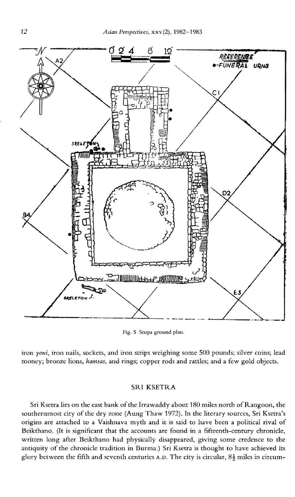

Fig. 5 Stupa ground plan.

iron *yoni*, iron nails, sockets, and iron strips weighing some 500 pounds; silver coins; lead money; bronze lions, *hamsas,* and rings; copper rods and rattles; and a few gold objects.

## SRI KSETRA

Sri Ksetra lies on the east bank of the Irrawaddy about 180 miles north of Rangoon. the southernmost city of the dry zone (Aung Thaw 1972). **In** the literary sources, Sri Ksetra's origins are attached to a Vaishnava myth and it is said to have been a political rival of Beikthano. (It is significant that the accounts are found in a fifteenth-century chronicle, written long after Beikthano had physically disappeared, giving some credence to the antiquity of the chronicle tradition in Burma.) Sri Ksetra is thought to have achieved its glory between the fifth and seventh centuries A.D. The city is circular,  $8\frac{1}{2}$  miles in circum-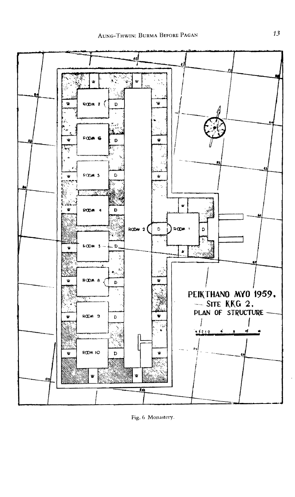

Fig. 6 Monastery.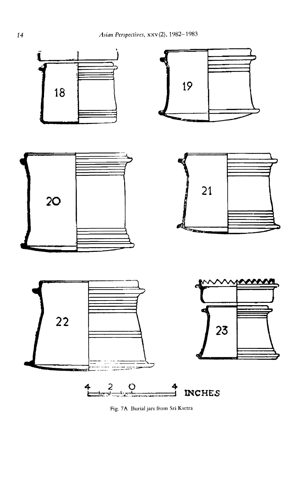

Fig. 7A Burial jars from Sri Ksetra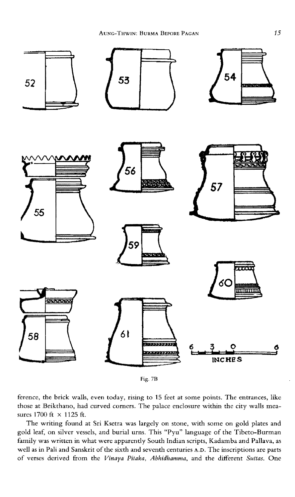

Fig.7D

ference, the brick walls, even today, rising to 15 feet at some points. The entrances, like those at Beikthano, had curved corners. The palace enclosure within the city walls measures 1700 ft × 1125 ft.

The writing found at Sri Ksetra was largely on stone, with some on gold plates and gold leaf, on silver vessels, and burial urns. This "Pyu" language of the Tibeto-Burman family was written in what were apparently South Indian scripts, Kadamba and Pallava, as well as in Pali and Sanskrit of the sixth and seventh centuries A.D. The inscriptions are parts of verses derived from the *Vinaya Pitaka, A/lhidhamma,* and the different *Suttas.* One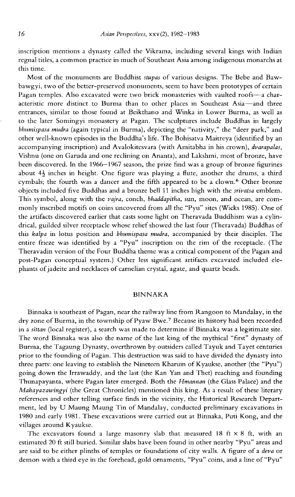inscription mentions a dynasty called the Vikrama, including several kings with Indian regnal titles, a common practice in much of Southeast Asia among indigenous monarchs at this time.

Most of the monuments are Buddhist *stupas* of various designs. The Bebe and Bawbawgyi, two of the better-preserved monuments, seem to have been prototypes of certain Pagan temples. Also excavated were two brick monasteries with vaulted roofs-a characteristic more distinct to Burma than to other places in Southeast Asia-and three entrances, similar to those found at Beikthano and Winka in Lower Burma, as well as to the later Somingyi monastery at Pagan. The sculptures include Buddhas in largely *bhumispasa mudra* (again typical in Burma), depicting the "nativity," the "deer park," and other well-known episodes in the Buddha's life. The Bohisatva Maitreya (identified by an accompanying inscription) and Avalokitesvara (with Amitabha in his crown), *dvarapalas,*  Vishnu (one on Garuda and one reclining on Ananta), and Lakshmi, most of bronze, have been discovered. In the 1966-1967 season, the prize find was a group of bronze figurines about  $4\frac{1}{2}$  inches in height. One figure was playing a flute, another the drums, a third cymbals; the fourth was a dancer and the fifth appeared to be a clown.<sup>6</sup> Other bronze objects included five Buddhas and a bronze bell 11 inches high with the *srivatsa* emblem. This symbol, along with the *vajra,* conch, *bhaddapitha,* sun, moon, and ocean, are commonly inscribed motifs on coins uncovered from all the "Pyu" sites (Wicks 1985). One of the artifacts discovered earlier that casts some light on Theravada Buddhism was a cylindrical, guilded silver receptacle whose relief showed the last four (Theravada) Buddhas of this *kalpa* in lotus position and *bhumispasa mudra,* accompanied by their disciples. The entire frieze was identified by a "Pyu" inscription on the rim of the receptacle. (The Theravadin version of the Four Buddha theme was a critical component of the Pagan and post-Pagan conceptual system.) Other less significant artifacts excavated included elephants of jadeite and necklaces of carnelian crystal, agate, and quartz beads.

## BINNAKA

Binnaka is southeast of Pagan, near the railway line from Rangoon to Mandalay, in the dry zone of Burma, in the township of Pyaw Bwe.7 Because its history had been recorded in a *sittan* (local register), a search was made to determine if Binnaka was a legitimate site. The word Binnaka was also the name of the last king of the mythical "first" dynasty of Burma, the Tagaung Dynasty, overthrown by outsiders called Tayuk and Tayet centuries prior to the founding of Pagan. This destruction was said to have divided the dynasty into three parts: one leaving to establish the Nineteen Kharuin of Kyaukse, another (the "Pyu") going down the Irrawaddy, and the last (the Kan Van and Thet) reaching and founding Thunapayanta, where Pagan later emerged. Both the *Hmannan* (the Glass Palace) and the *Mahayazawingyi* (the Great Chronicles) mentioned this king. As a result of these literary references and other telling surface finds in the vicinity, the Historical Research Department, led by U Maung Maung Tin of Mandalay, conducted preliminary excavations in 1980 and early 1981. These excavations were carried out at Binnaka, Puti Kong, and the villages around Kyaukse.

The excavators found a large masonry slab that measured 18 ft  $\times$  8 ft, with an estimated 20 ft still buried. Similar slabs have been found in other nearby "Pyu" areas and are said to be either plinths of temples or foundations of city walls. A figure of a *deva* or demon with a third eye in the forehead, gold ornaments, "Pyu" coins, and a line of "Pyu"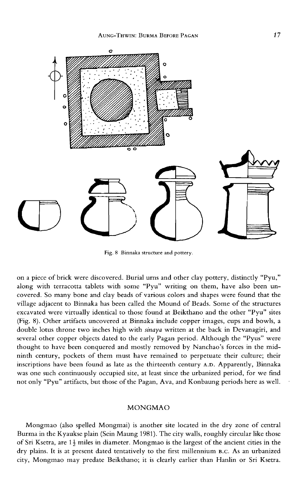

Fig. 8 Binnaka structure and pottery.

on a piece of brick were discovered. Burial urns and other clay pottery, distinctly "Pyu," along with terracotta tablets with some "Pyu" writing on them, have also been uncovered. So many bone and clay beads of various colors and shapes were found that the village adjacent to Binnaka has been called the Mound of Beads. Some of the structures excavated were virtually identical to those found at Beikthano and the other "Pyu" sites (Fig. 8). Other artifacts uncovered at Binnaka include copper images, cups and bowls, a double lotus throne two inches high with *sinaya* written at the back in Devanagiri, and several other copper objects dated to the early Pagan period. Although the "Pyus" were thought to have been conquered and mostly removed by Nanchao's forces in the midninth century, pockets of them must have remained to perpetuate their culture; their inscriptions have been found as late as the thirteenth century A.D. Apparently, Binnaka was one such continuously occupied site, at least since the urbanized period, for we find not only "Pyu" artifacts, but those of the Pagan, A va, and Konbaung periods here as well.

## MONGMAO

Mongmao (also spelled Mongmai) is another site located in the dry zone of central Burma in the Kyaukse plain (Sein Maung 1981). The city walls, roughly circular like those of Sri Ksetra, are  $1\frac{1}{2}$  miles in diameter. Mongmao is the largest of the ancient cities in the dry plains. **It** is at present dated tentatively to the first millennium B.C. As an urbanized city, Mongmao may predate Beikthano; it is clearly earlier than Hanlin or Sri Ksetra.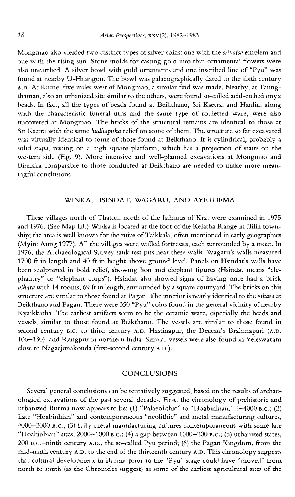Mongmao also yielded two distinct types of silver coins: one with the *srivatsa* emblem and one with the rising sun. Stone molds for casting gold into thin ornamental flowers were also unearthed. A silver bowl with gold ornaments and one inscribed line of "Pyu" was found at nearby U-Hnangon. The bowl was palaeographically dated to the sixth century A.D. At Kume, five miles west of Mongmao, a similar find was made. Nearby, at Taungthaman, also an urbanized site similar to the others, were found so-called acid-etched onyx beads. In fact, all the types of beads found at Beikthano, Sri Ksetra, and Hanlin, along with the characteristic funeral urns and the same type of rouletted ware, were also uncovered at Mongmao. The bricks of the structural remains are identical to those at Sri Ksetra with the same *budhapitha* relief on some of them. The structure so far excavated was virtually identical to some of those found at Beikthano. It is cylindrical, probably a solid *stupa,* resting on a high square platform, which has a projection of stairs on the western side (Fig. 9). More intensive and well-planned excavations at Mongmao and Binnaka comparable to those conducted at Beikthano are needed to make more meaningful conclusions.

## WINKA, HSINDAT, WAGARU, AND AYETHEMA

These villages north of Thaton, north of the Isthmus of Kra, were examined in 1975 and 1976. (See Map IB.) Winka is located at the foot of the Kelatha Range in Bilin township; the area is well known for the ruins of Taikkala, often mentioned in early geographies (Myint Aung 1977). All the villages were walled fortresses, each surrounded by a moat. In 1976, the Archaeological Survey sank test pits near these walls. Wagaru's walls measured 1700 ft in length and 40 ft in height above ground level. Panels on Hsindat's walls have been sculptured in bold relief, showing lion and elephant figures (Hsindat means "elephantry" or "elephant corps"). Hsindat also showed signs of having once had a brick *vihara* with 14 rooms, 69 ft in length, surrounded by a square courtyard. The bricks on this structure are similar to those found at Pagan. The interior is nearly identical to the *vihara* at Beikthano and Pagan. There were 350 "Pyu" coins found in the general vicinity of nearby Kyaikkatha. The earliest artifacts seem to be the ceramic ware, especially the beads and vessels, similar to those found at Beikthano. The vessels are similar to those found in second century B.C. to third century A.D. Hastinapur, the Deccan's Brahmapuri (A.D. 106-130), and Rangpur in northern India. Similar vessels were also found in Yeleswaram close to Nagarjunakonda (first-second century A.D.).

## **CONCLUSIONS**

Several general conclusions can be tentatively suggested, based on the results of archaeological excavations of the past several decades. First, the chronology of prehistoric and urbanized Burma now appears to be: (1) "Palaeolithic" to "Hoabinhian," ?-4000 B.C.; (2) Late "Hoabinhian" and contemporaneous "neolithic" and metal manufacturing cultures, 4000-2000 B.C.; (3) fully metal manufacturing cultures contemporaneous with some late "Hoabinhian" sites, 2000-1000 B.C.; (4) a gap between  $1000-200$  B.C.; (5) urbanized states, 200 B.c.-ninth century A.D., the so-called Pyu period; (6) the Pagan Kingdom, from the mid-ninth century A.D. to the end of the thirteenth century A.D. This chronology suggests that cultural development in Burma prior to the "Pyu" stage could have "moved" from north to south (as the Chronicles suggest) as some of the earliest agricultural sites of the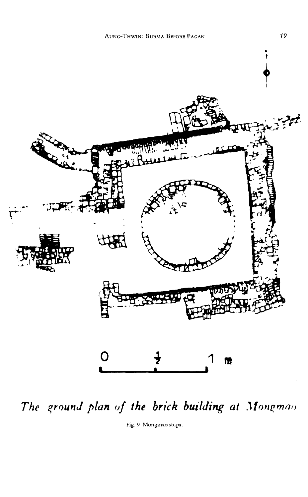

The ground plan of the brick building at Mongmao

Fig. 9 Mongmao stupa.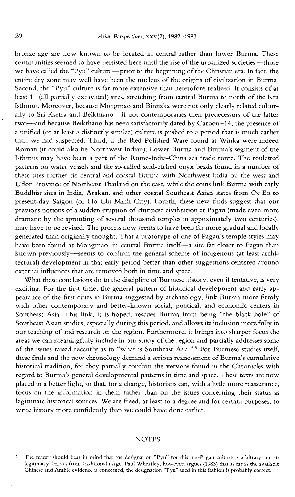bronze age are now known to be located in central rather than lower Burma. These communities seemed to have persisted here until the rise of the urbanized societies-those we have called the "Pyu" culture-prior to the beginning of the Christian era. In fact, the entire dry zone may well have been the nucleus of the origins of civilization in Burma. Second, the "Pyu" culture is far more extensive than heretofore realized. It consists of at least 11 (all partially excavated) sites, stretching from central Burma to north of the Kra Isthmus. Moreover, because Mongmao and Binnaka were not only clearly related culturally to Sri Ksetra and Beikthano-if not contemporaries then predecessors of the latter two-and because Beikthano has been satisfactorily dated by Carbon-14, the presence of a unified (or at least a distinctly similar) culture is pushed to a period that is much earlier than we had suspected. Third, if the Red Polished Ware found at Winka were indeed Roman (it could also be Northwest Indian), Lower Burma and Burma's segment of the Isthmus may have been a part of the Rome-India-China sea trade route. The rouletted patterns on water vessels and the so-called acid-etched onyx beads found in a number of these sites further tie central and coastal Burma with Northwest India on the west and Udon Province of Northeast Thailand on the east, while the coins link Burma with early Buddhist sites in India, Arakan, and other coastal Southeast Asian states from Oc Eo to present-day Saigon (or Ho Chi Minh City). Fourth, these new finds suggest that our previous notions of a sudden eruption of Burmese civilization at Pagan (made even more dramatic by the sprouting of several thousand temples in appoximately two centuries), may have to be revised. The process now seems to have been far more gradual and locally generated than originally thought. That a prototype of one of Pagan's temple styles may have been found at Mongmao, in central Burma itself-a site far closer to Pagan than known previously-seems to confirm the general scheme of indigenous (at least architectural) development in that early period better than other suggestions centered around external influences that are removed both in time and space.

What these conclusions do to the discipline of Burmese history, even if tentative, is very exciting. For the first time, the general pattern of historical development and early appearance of the first cities in Burma suggested by archaeology, link Burma more firmly with other contemporary and better-known social, political, and economic centers in Southeast Asia. This link, it is hoped, rescues Burma from being "the black hole" of Southeast Asian studies, especially during this period, and allows its inclusion more fully in our teaching of and research on the region. Furthermore, it brings into sharper focus the areas we can meaningfully include in our study of the region and partially addresses some of the issues raised recently as to "what is Southeast Asia."<sup>8</sup> For Burmese studies itself, these finds and the new chronology demand a serious reassessment of Burma's cumulative historical tradition, for they partially confirm the versions found in the Chronicles with regard to Burma's general developmental patterns in time and space. These texts are now placed in a better light, so that, for a change, historians can, with a little more reassurance, focus on the information in them rather than on the issues concerning their status as legitimate historical sources. We are freed, at least to a degree and for certain purposes, to write history more confidently than we could have done earlier.

### **NOTES**

<sup>1.</sup> The reader should bear in mind that the designation "Pyu" for this pre-Pagan culture is arbitrary and its legitimacy derives from traditional usage. Paul Wheatley, however, argues (1983) that as far as the available Chinese and Arabic evidence is concerned, the designation "Pyu" used in this fashion is probably correct.